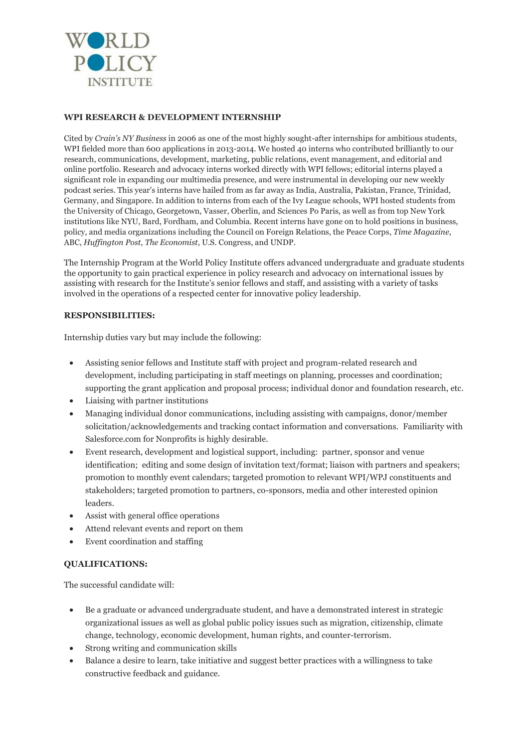

### **WPI RESEARCH & DEVELOPMENT INTERNSHIP**

Cited by *Crain's NY Business* in 2006 as one of the most highly sought-after internships for ambitious students, WPI fielded more than 600 applications in 2013-2014. We hosted 40 interns who contributed brilliantly to our research, communications, development, marketing, public relations, event management, and editorial and online portfolio. Research and advocacy interns worked directly with WPI fellows; editorial interns played a significant role in expanding our multimedia presence, and were instrumental in developing our new weekly podcast series. This year's interns have hailed from as far away as India, Australia, Pakistan, France, Trinidad, Germany, and Singapore. In addition to interns from each of the Ivy League schools, WPI hosted students from the University of Chicago, Georgetown, Vasser, Oberlin, and Sciences Po Paris, as well as from top New York institutions like NYU, Bard, Fordham, and Columbia. Recent interns have gone on to hold positions in business, policy, and media organizations including the Council on Foreign Relations, the Peace Corps, *Time Magazine*, ABC, *Huffington Post*, *The Economist*, U.S. Congress, and UNDP.

The Internship Program at the World Policy Institute offers advanced undergraduate and graduate students the opportunity to gain practical experience in policy research and advocacy on international issues by assisting with research for the Institute's senior fellows and staff, and assisting with a variety of tasks involved in the operations of a respected center for innovative policy leadership.

### **RESPONSIBILITIES:**

Internship duties vary but may include the following:

- Assisting senior fellows and Institute staff with project and program-related research and development, including participating in staff meetings on planning, processes and coordination; supporting the grant application and proposal process; individual donor and foundation research, etc.
- Liaising with partner institutions
- Managing individual donor communications, including assisting with campaigns, donor/member solicitation/acknowledgements and tracking contact information and conversations. Familiarity with Salesforce.com for Nonprofits is highly desirable.
- Event research, development and logistical support, including: partner, sponsor and venue identification; editing and some design of invitation text/format; liaison with partners and speakers; promotion to monthly event calendars; targeted promotion to relevant WPI/WPJ constituents and stakeholders; targeted promotion to partners, co-sponsors, media and other interested opinion leaders.
- Assist with general office operations
- Attend relevant events and report on them
- Event coordination and staffing

#### **QUALIFICATIONS:**

The successful candidate will:

- Be a graduate or advanced undergraduate student, and have a demonstrated interest in strategic organizational issues as well as global public policy issues such as migration, citizenship, climate change, technology, economic development, human rights, and counter-terrorism.
- Strong writing and communication skills
- Balance a desire to learn, take initiative and suggest better practices with a willingness to take constructive feedback and guidance.